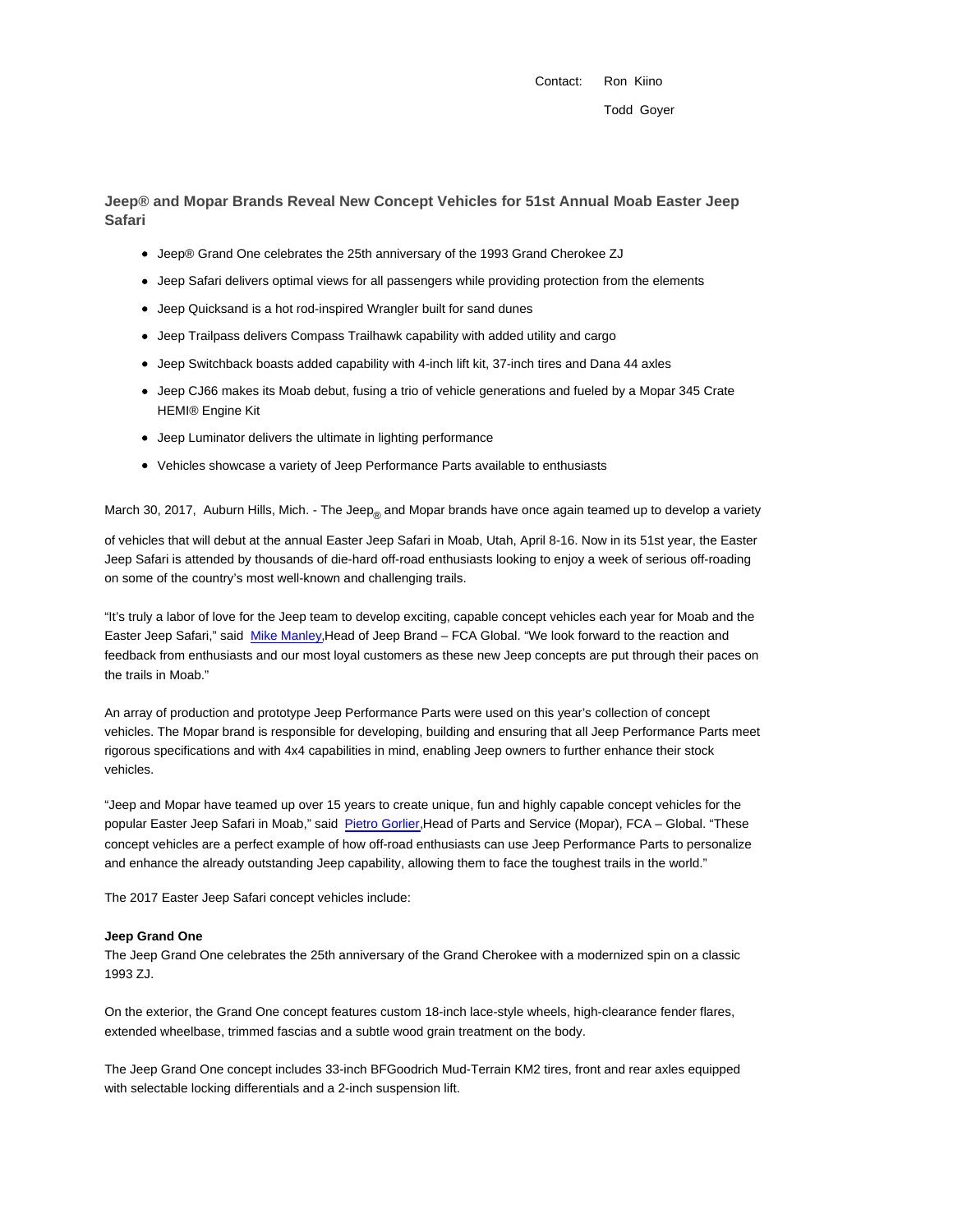Contact: Ron Kiino

**Jeep® and Mopar Brands Reveal New Concept Vehicles for 51st Annual Moab Easter Jeep Safari**

- Jeep® Grand One celebrates the 25th anniversary of the 1993 Grand Cherokee ZJ
- Jeep Safari delivers optimal views for all passengers while providing protection from the elements
- Jeep Quicksand is a hot rod-inspired Wrangler built for sand dunes
- Jeep Trailpass delivers Compass Trailhawk capability with added utility and cargo
- Jeep Switchback boasts added capability with 4-inch lift kit, 37-inch tires and Dana 44 axles
- Jeep CJ66 makes its Moab debut, fusing a trio of vehicle generations and fueled by a Mopar 345 Crate HEMI® Engine Kit
- Jeep Luminator delivers the ultimate in lighting performance
- Vehicles showcase a variety of Jeep Performance Parts available to enthusiasts

March 30, 2017, Auburn Hills, Mich. - The Jeep<sub>®</sub> and Mopar brands have once again teamed up to develop a variety

of vehicles that will debut at the annual Easter Jeep Safari in Moab, Utah, April 8-16. Now in its 51st year, the Easter Jeep Safari is attended by thousands of die-hard off-road enthusiasts looking to enjoy a week of serious off-roading on some of the country's most well-known and challenging trails.

"It's truly a labor of love for the Jeep team to develop exciting, capable concept vehicles each year for Moab and the Easter Jeep Safari," said Mike Manley,Head of Jeep Brand – FCA Global. "We look forward to the reaction and feedback from enthusiasts and our most loyal customers as these new Jeep concepts are put through their paces on the trails in Moab."

An array of production and prototype Jeep Performance Parts were used on this year's collection of concept vehicles. The Mopar brand is responsible for developing, building and ensuring that all Jeep Performance Parts meet rigorous specifications and with 4x4 capabilities in mind, enabling Jeep owners to further enhance their stock vehicles.

"Jeep and Mopar have teamed up over 15 years to create unique, fun and highly capable concept vehicles for the popular Easter Jeep Safari in Moab," said Pietro Gorlier, Head of Parts and Service (Mopar), FCA - Global. "These concept vehicles are a perfect example of how off-road enthusiasts can use Jeep Performance Parts to personalize and enhance the already outstanding Jeep capability, allowing them to face the toughest trails in the world."

The 2017 Easter Jeep Safari concept vehicles include:

#### **Jeep Grand One**

The Jeep Grand One celebrates the 25th anniversary of the Grand Cherokee with a modernized spin on a classic 1993 ZJ.

On the exterior, the Grand One concept features custom 18-inch lace-style wheels, high-clearance fender flares, extended wheelbase, trimmed fascias and a subtle wood grain treatment on the body.

The Jeep Grand One concept includes 33-inch BFGoodrich Mud-Terrain KM2 tires, front and rear axles equipped with selectable locking differentials and a 2-inch suspension lift.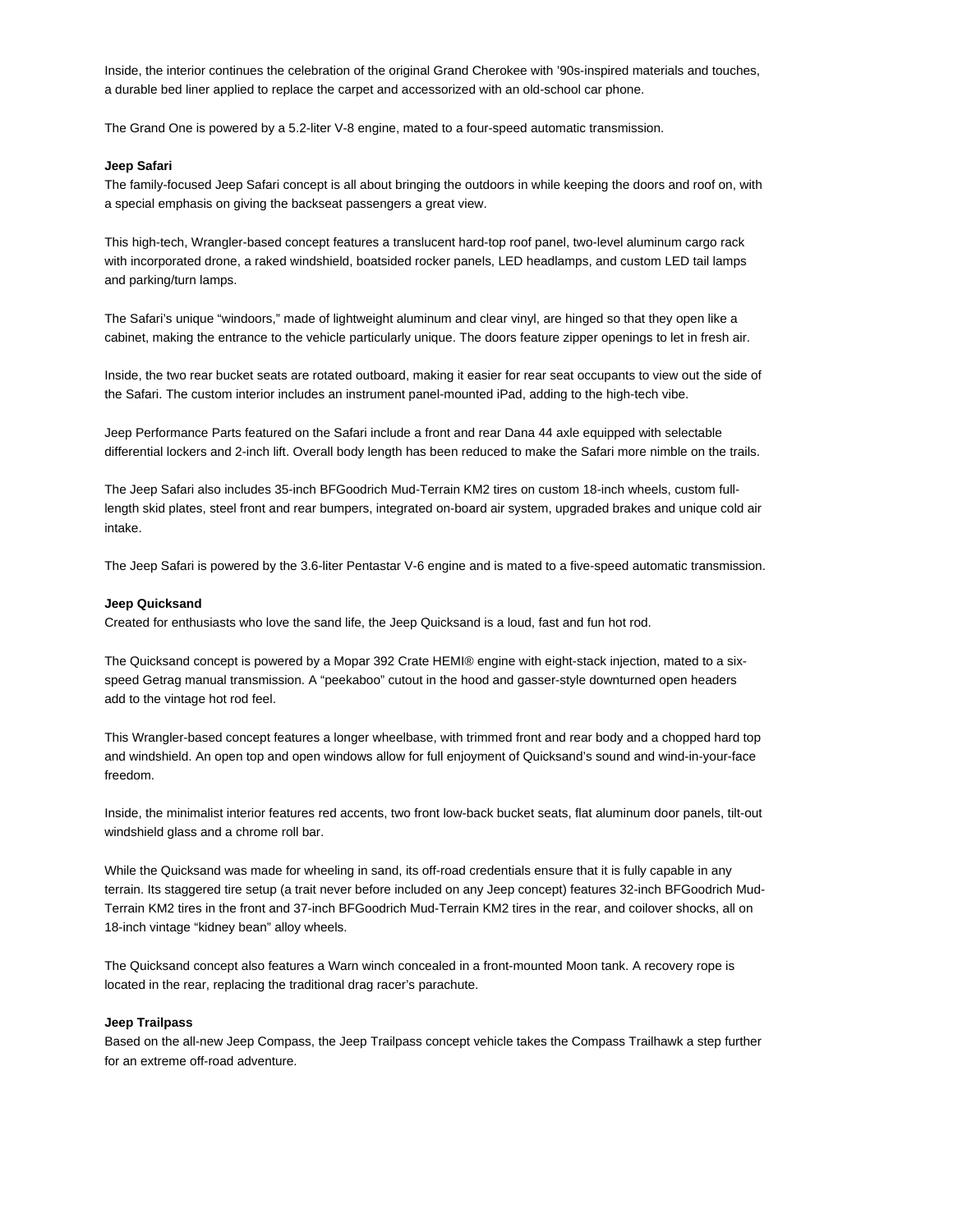Inside, the interior continues the celebration of the original Grand Cherokee with '90s-inspired materials and touches, a durable bed liner applied to replace the carpet and accessorized with an old-school car phone.

The Grand One is powered by a 5.2-liter V-8 engine, mated to a four-speed automatic transmission.

### **Jeep Safari**

The family-focused Jeep Safari concept is all about bringing the outdoors in while keeping the doors and roof on, with a special emphasis on giving the backseat passengers a great view.

This high-tech, Wrangler-based concept features a translucent hard-top roof panel, two-level aluminum cargo rack with incorporated drone, a raked windshield, boatsided rocker panels, LED headlamps, and custom LED tail lamps and parking/turn lamps.

The Safari's unique "windoors," made of lightweight aluminum and clear vinyl, are hinged so that they open like a cabinet, making the entrance to the vehicle particularly unique. The doors feature zipper openings to let in fresh air.

Inside, the two rear bucket seats are rotated outboard, making it easier for rear seat occupants to view out the side of the Safari. The custom interior includes an instrument panel-mounted iPad, adding to the high-tech vibe.

Jeep Performance Parts featured on the Safari include a front and rear Dana 44 axle equipped with selectable differential lockers and 2-inch lift. Overall body length has been reduced to make the Safari more nimble on the trails.

The Jeep Safari also includes 35-inch BFGoodrich Mud-Terrain KM2 tires on custom 18-inch wheels, custom fulllength skid plates, steel front and rear bumpers, integrated on-board air system, upgraded brakes and unique cold air intake.

The Jeep Safari is powered by the 3.6-liter Pentastar V-6 engine and is mated to a five-speed automatic transmission.

#### **Jeep Quicksand**

Created for enthusiasts who love the sand life, the Jeep Quicksand is a loud, fast and fun hot rod.

The Quicksand concept is powered by a Mopar 392 Crate HEMI® engine with eight-stack injection, mated to a sixspeed Getrag manual transmission. A "peekaboo" cutout in the hood and gasser-style downturned open headers add to the vintage hot rod feel.

This Wrangler-based concept features a longer wheelbase, with trimmed front and rear body and a chopped hard top and windshield. An open top and open windows allow for full enjoyment of Quicksand's sound and wind-in-your-face freedom.

Inside, the minimalist interior features red accents, two front low-back bucket seats, flat aluminum door panels, tilt-out windshield glass and a chrome roll bar.

While the Quicksand was made for wheeling in sand, its off-road credentials ensure that it is fully capable in any terrain. Its staggered tire setup (a trait never before included on any Jeep concept) features 32-inch BFGoodrich Mud-Terrain KM2 tires in the front and 37-inch BFGoodrich Mud-Terrain KM2 tires in the rear, and coilover shocks, all on 18-inch vintage "kidney bean" alloy wheels.

The Quicksand concept also features a Warn winch concealed in a front-mounted Moon tank. A recovery rope is located in the rear, replacing the traditional drag racer's parachute.

# **Jeep Trailpass**

Based on the all-new Jeep Compass, the Jeep Trailpass concept vehicle takes the Compass Trailhawk a step further for an extreme off-road adventure.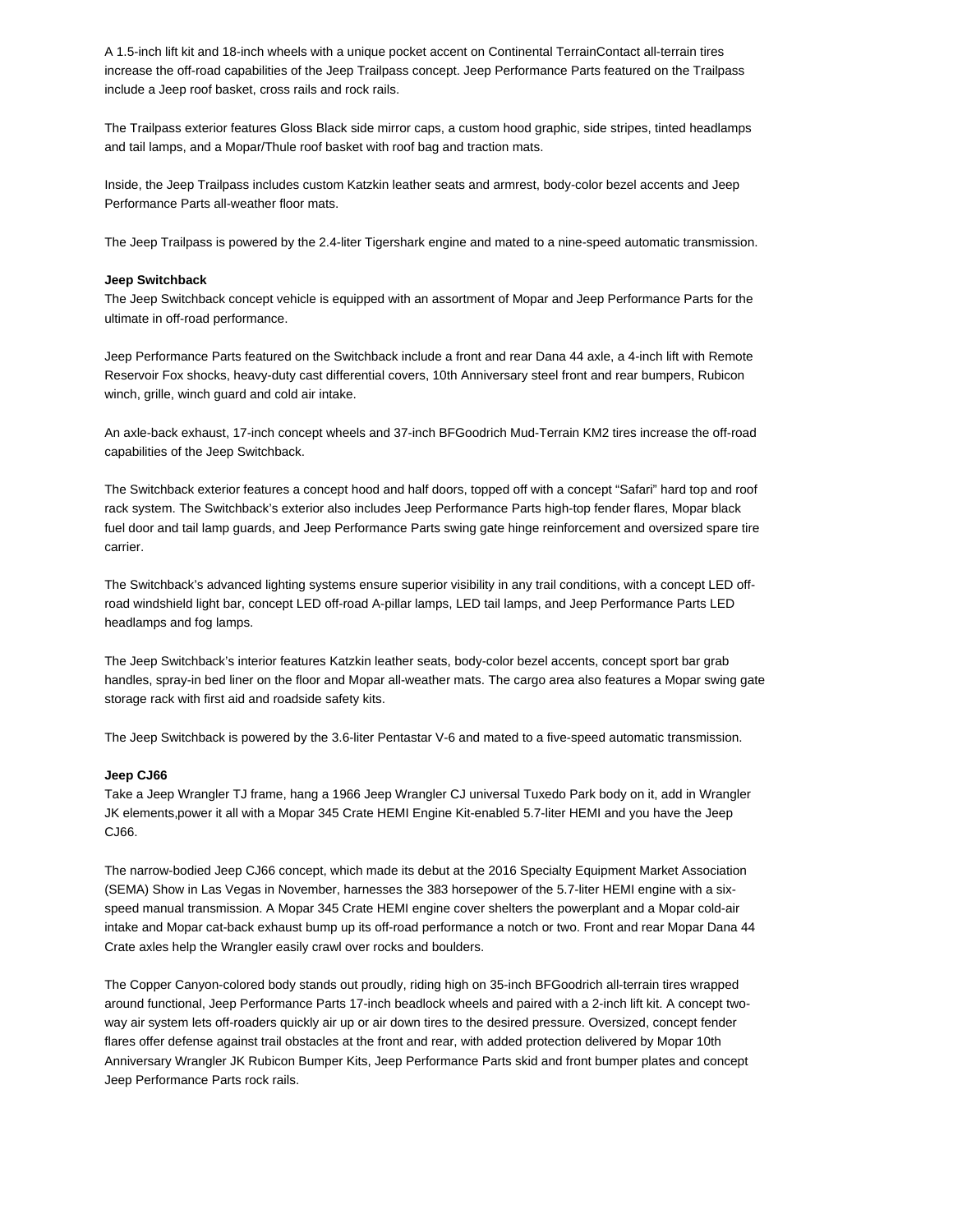A 1.5-inch lift kit and 18-inch wheels with a unique pocket accent on Continental TerrainContact all-terrain tires increase the off-road capabilities of the Jeep Trailpass concept. Jeep Performance Parts featured on the Trailpass include a Jeep roof basket, cross rails and rock rails.

The Trailpass exterior features Gloss Black side mirror caps, a custom hood graphic, side stripes, tinted headlamps and tail lamps, and a Mopar/Thule roof basket with roof bag and traction mats.

Inside, the Jeep Trailpass includes custom Katzkin leather seats and armrest, body-color bezel accents and Jeep Performance Parts all-weather floor mats.

The Jeep Trailpass is powered by the 2.4-liter Tigershark engine and mated to a nine-speed automatic transmission.

# **Jeep Switchback**

The Jeep Switchback concept vehicle is equipped with an assortment of Mopar and Jeep Performance Parts for the ultimate in off-road performance.

Jeep Performance Parts featured on the Switchback include a front and rear Dana 44 axle, a 4-inch lift with Remote Reservoir Fox shocks, heavy-duty cast differential covers, 10th Anniversary steel front and rear bumpers, Rubicon winch, grille, winch guard and cold air intake.

An axle-back exhaust, 17-inch concept wheels and 37-inch BFGoodrich Mud-Terrain KM2 tires increase the off-road capabilities of the Jeep Switchback.

The Switchback exterior features a concept hood and half doors, topped off with a concept "Safari" hard top and roof rack system. The Switchback's exterior also includes Jeep Performance Parts high-top fender flares, Mopar black fuel door and tail lamp guards, and Jeep Performance Parts swing gate hinge reinforcement and oversized spare tire carrier.

The Switchback's advanced lighting systems ensure superior visibility in any trail conditions, with a concept LED offroad windshield light bar, concept LED off-road A-pillar lamps, LED tail lamps, and Jeep Performance Parts LED headlamps and fog lamps.

The Jeep Switchback's interior features Katzkin leather seats, body-color bezel accents, concept sport bar grab handles, spray-in bed liner on the floor and Mopar all-weather mats. The cargo area also features a Mopar swing gate storage rack with first aid and roadside safety kits.

The Jeep Switchback is powered by the 3.6-liter Pentastar V-6 and mated to a five-speed automatic transmission.

## **Jeep CJ66**

Take a Jeep Wrangler TJ frame, hang a 1966 Jeep Wrangler CJ universal Tuxedo Park body on it, add in Wrangler JK elements,power it all with a Mopar 345 Crate HEMI Engine Kit-enabled 5.7-liter HEMI and you have the Jeep CJ66.

The narrow-bodied Jeep CJ66 concept, which made its debut at the 2016 Specialty Equipment Market Association (SEMA) Show in Las Vegas in November, harnesses the 383 horsepower of the 5.7-liter HEMI engine with a sixspeed manual transmission. A Mopar 345 Crate HEMI engine cover shelters the powerplant and a Mopar cold-air intake and Mopar cat-back exhaust bump up its off-road performance a notch or two. Front and rear Mopar Dana 44 Crate axles help the Wrangler easily crawl over rocks and boulders.

The Copper Canyon-colored body stands out proudly, riding high on 35-inch BFGoodrich all-terrain tires wrapped around functional, Jeep Performance Parts 17-inch beadlock wheels and paired with a 2-inch lift kit. A concept twoway air system lets off-roaders quickly air up or air down tires to the desired pressure. Oversized, concept fender flares offer defense against trail obstacles at the front and rear, with added protection delivered by Mopar 10th Anniversary Wrangler JK Rubicon Bumper Kits, Jeep Performance Parts skid and front bumper plates and concept Jeep Performance Parts rock rails.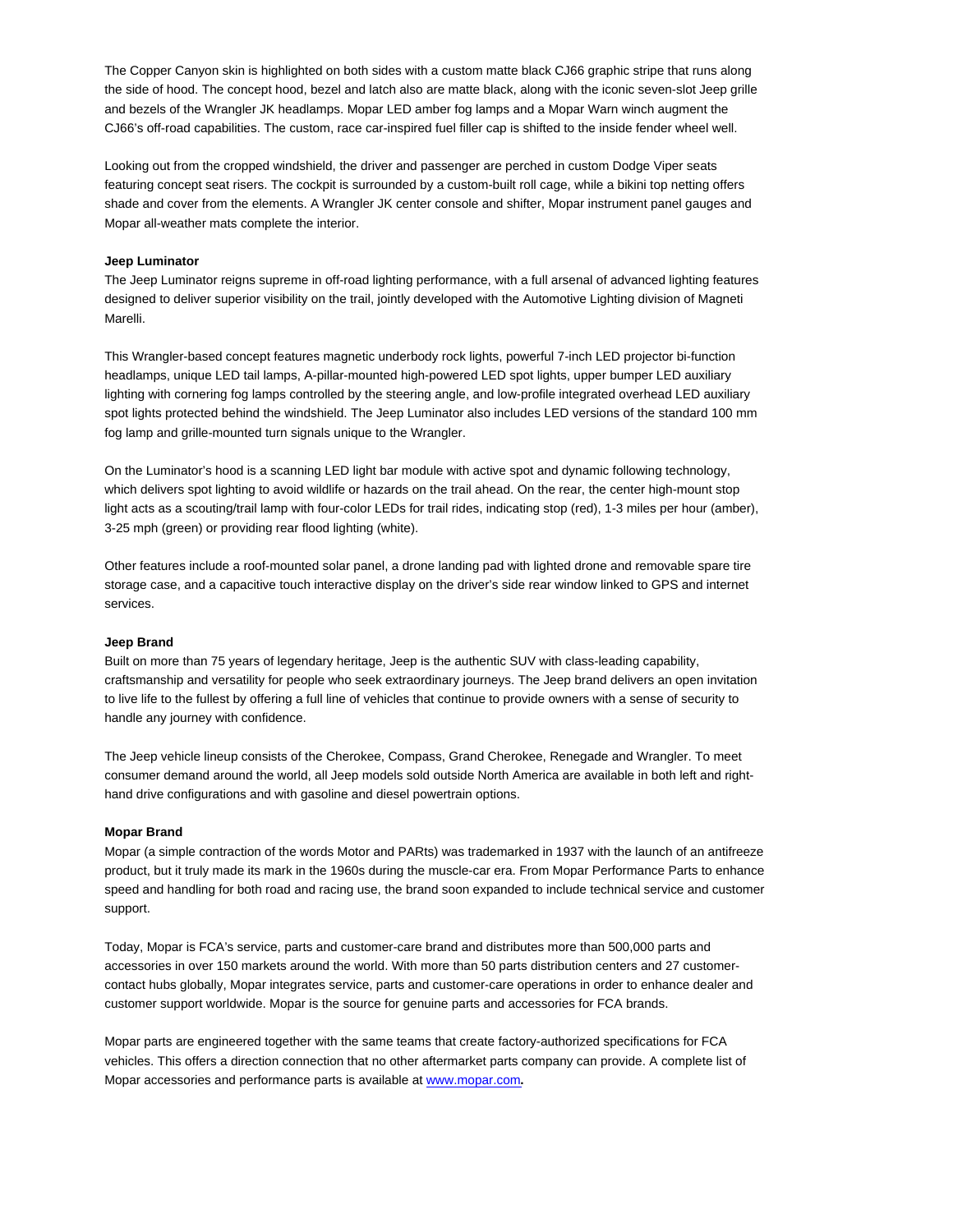The Copper Canyon skin is highlighted on both sides with a custom matte black CJ66 graphic stripe that runs along the side of hood. The concept hood, bezel and latch also are matte black, along with the iconic seven-slot Jeep grille and bezels of the Wrangler JK headlamps. Mopar LED amber fog lamps and a Mopar Warn winch augment the CJ66's off-road capabilities. The custom, race car-inspired fuel filler cap is shifted to the inside fender wheel well.

Looking out from the cropped windshield, the driver and passenger are perched in custom Dodge Viper seats featuring concept seat risers. The cockpit is surrounded by a custom-built roll cage, while a bikini top netting offers shade and cover from the elements. A Wrangler JK center console and shifter, Mopar instrument panel gauges and Mopar all-weather mats complete the interior.

## **Jeep Luminator**

The Jeep Luminator reigns supreme in off-road lighting performance, with a full arsenal of advanced lighting features designed to deliver superior visibility on the trail, jointly developed with the Automotive Lighting division of Magneti Marelli.

This Wrangler-based concept features magnetic underbody rock lights, powerful 7-inch LED projector bi-function headlamps, unique LED tail lamps, A-pillar-mounted high-powered LED spot lights, upper bumper LED auxiliary lighting with cornering fog lamps controlled by the steering angle, and low-profile integrated overhead LED auxiliary spot lights protected behind the windshield. The Jeep Luminator also includes LED versions of the standard 100 mm fog lamp and grille-mounted turn signals unique to the Wrangler.

On the Luminator's hood is a scanning LED light bar module with active spot and dynamic following technology, which delivers spot lighting to avoid wildlife or hazards on the trail ahead. On the rear, the center high-mount stop light acts as a scouting/trail lamp with four-color LEDs for trail rides, indicating stop (red), 1-3 miles per hour (amber), 3-25 mph (green) or providing rear flood lighting (white).

Other features include a roof-mounted solar panel, a drone landing pad with lighted drone and removable spare tire storage case, and a capacitive touch interactive display on the driver's side rear window linked to GPS and internet services.

## **Jeep Brand**

Built on more than 75 years of legendary heritage, Jeep is the authentic SUV with class-leading capability, craftsmanship and versatility for people who seek extraordinary journeys. The Jeep brand delivers an open invitation to live life to the fullest by offering a full line of vehicles that continue to provide owners with a sense of security to handle any journey with confidence.

The Jeep vehicle lineup consists of the Cherokee, Compass, Grand Cherokee, Renegade and Wrangler. To meet consumer demand around the world, all Jeep models sold outside North America are available in both left and righthand drive configurations and with gasoline and diesel powertrain options.

#### **Mopar Brand**

Mopar (a simple contraction of the words Motor and PARts) was trademarked in 1937 with the launch of an antifreeze product, but it truly made its mark in the 1960s during the muscle-car era. From Mopar Performance Parts to enhance speed and handling for both road and racing use, the brand soon expanded to include technical service and customer support.

Today, Mopar is FCA's service, parts and customer-care brand and distributes more than 500,000 parts and accessories in over 150 markets around the world. With more than 50 parts distribution centers and 27 customercontact hubs globally, Mopar integrates service, parts and customer-care operations in order to enhance dealer and customer support worldwide. Mopar is the source for genuine parts and accessories for FCA brands.

Mopar parts are engineered together with the same teams that create factory-authorized specifications for FCA vehicles. This offers a direction connection that no other aftermarket parts company can provide. A complete list of Mopar accessories and performance parts is available at www.mopar.com**.**